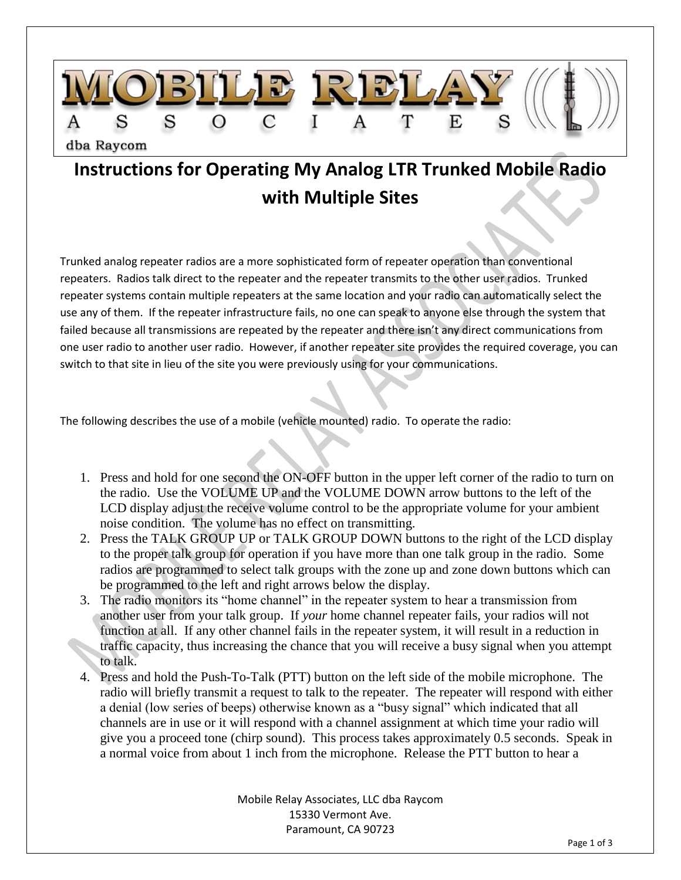

## **Instructions for Operating My Analog LTR Trunked Mobile Radio with Multiple Sites**

Trunked analog repeater radios are a more sophisticated form of repeater operation than conventional repeaters. Radios talk direct to the repeater and the repeater transmits to the other user radios. Trunked repeater systems contain multiple repeaters at the same location and your radio can automatically select the use any of them. If the repeater infrastructure fails, no one can speak to anyone else through the system that failed because all transmissions are repeated by the repeater and there isn't any direct communications from one user radio to another user radio. However, if another repeater site provides the required coverage, you can switch to that site in lieu of the site you were previously using for your communications.

The following describes the use of a mobile (vehicle mounted) radio. To operate the radio:

- 1. Press and hold for one second the ON-OFF button in the upper left corner of the radio to turn on the radio. Use the VOLUME UP and the VOLUME DOWN arrow buttons to the left of the LCD display adjust the receive volume control to be the appropriate volume for your ambient noise condition. The volume has no effect on transmitting.
- 2. Press the TALK GROUP UP or TALK GROUP DOWN buttons to the right of the LCD display to the proper talk group for operation if you have more than one talk group in the radio. Some radios are programmed to select talk groups with the zone up and zone down buttons which can be programmed to the left and right arrows below the display.
- 3. The radio monitors its "home channel" in the repeater system to hear a transmission from another user from your talk group. If *your* home channel repeater fails, your radios will not function at all. If any other channel fails in the repeater system, it will result in a reduction in traffic capacity, thus increasing the chance that you will receive a busy signal when you attempt to talk.
- 4. Press and hold the Push-To-Talk (PTT) button on the left side of the mobile microphone. The radio will briefly transmit a request to talk to the repeater. The repeater will respond with either a denial (low series of beeps) otherwise known as a "busy signal" which indicated that all channels are in use or it will respond with a channel assignment at which time your radio will give you a proceed tone (chirp sound). This process takes approximately 0.5 seconds. Speak in a normal voice from about 1 inch from the microphone. Release the PTT button to hear a

Mobile Relay Associates, LLC dba Raycom 15330 Vermont Ave. Paramount, CA 90723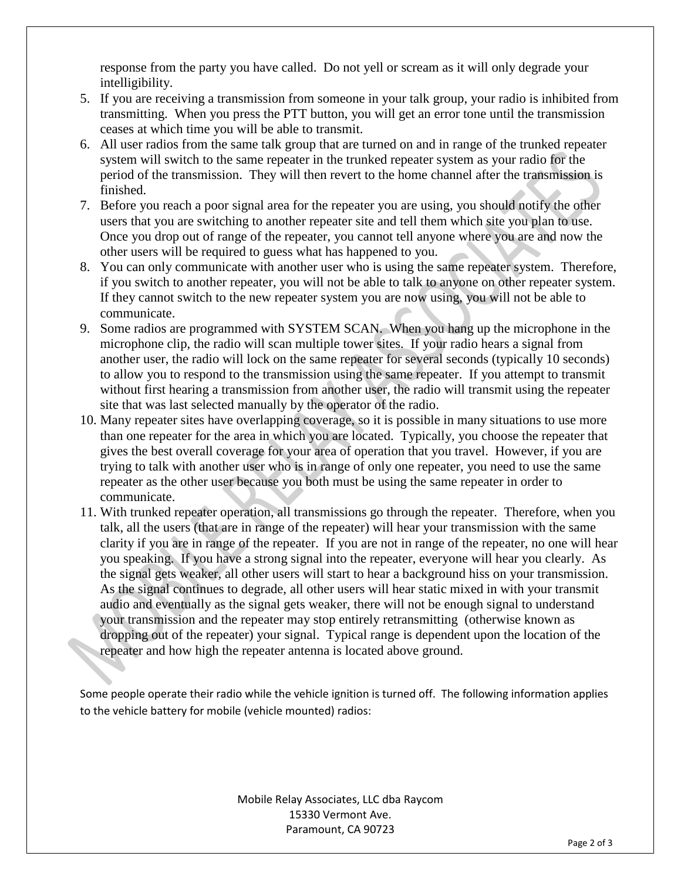response from the party you have called. Do not yell or scream as it will only degrade your intelligibility.

- 5. If you are receiving a transmission from someone in your talk group, your radio is inhibited from transmitting. When you press the PTT button, you will get an error tone until the transmission ceases at which time you will be able to transmit.
- 6. All user radios from the same talk group that are turned on and in range of the trunked repeater system will switch to the same repeater in the trunked repeater system as your radio for the period of the transmission. They will then revert to the home channel after the transmission is finished.
- 7. Before you reach a poor signal area for the repeater you are using, you should notify the other users that you are switching to another repeater site and tell them which site you plan to use. Once you drop out of range of the repeater, you cannot tell anyone where you are and now the other users will be required to guess what has happened to you.
- 8. You can only communicate with another user who is using the same repeater system. Therefore, if you switch to another repeater, you will not be able to talk to anyone on other repeater system. If they cannot switch to the new repeater system you are now using, you will not be able to communicate.
- 9. Some radios are programmed with SYSTEM SCAN. When you hang up the microphone in the microphone clip, the radio will scan multiple tower sites. If your radio hears a signal from another user, the radio will lock on the same repeater for several seconds (typically 10 seconds) to allow you to respond to the transmission using the same repeater. If you attempt to transmit without first hearing a transmission from another user, the radio will transmit using the repeater site that was last selected manually by the operator of the radio.
- 10. Many repeater sites have overlapping coverage, so it is possible in many situations to use more than one repeater for the area in which you are located. Typically, you choose the repeater that gives the best overall coverage for your area of operation that you travel. However, if you are trying to talk with another user who is in range of only one repeater, you need to use the same repeater as the other user because you both must be using the same repeater in order to communicate.
- 11. With trunked repeater operation, all transmissions go through the repeater. Therefore, when you talk, all the users (that are in range of the repeater) will hear your transmission with the same clarity if you are in range of the repeater. If you are not in range of the repeater, no one will hear you speaking. If you have a strong signal into the repeater, everyone will hear you clearly. As the signal gets weaker, all other users will start to hear a background hiss on your transmission. As the signal continues to degrade, all other users will hear static mixed in with your transmit audio and eventually as the signal gets weaker, there will not be enough signal to understand your transmission and the repeater may stop entirely retransmitting (otherwise known as dropping out of the repeater) your signal. Typical range is dependent upon the location of the repeater and how high the repeater antenna is located above ground.

Some people operate their radio while the vehicle ignition is turned off. The following information applies to the vehicle battery for mobile (vehicle mounted) radios:

> Mobile Relay Associates, LLC dba Raycom 15330 Vermont Ave. Paramount, CA 90723